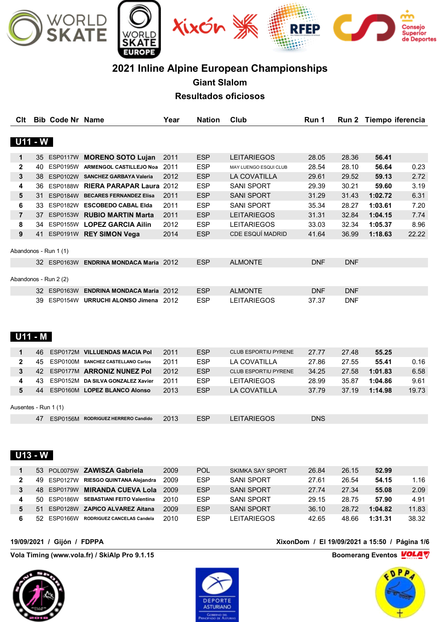

# **2021 Inline Alpine European Championships**

**Giant Slalom**

**Resultados oficiosos**

| Clt                  |     | <b>Bib Code Nr Name</b> |                                                                                  | Year | <b>Nation</b>            | Club                                 | Run 1               |                          | Run 2 Tiempo iferencia |       |
|----------------------|-----|-------------------------|----------------------------------------------------------------------------------|------|--------------------------|--------------------------------------|---------------------|--------------------------|------------------------|-------|
|                      |     |                         |                                                                                  |      |                          |                                      |                     |                          |                        |       |
| <b>U11 - W</b>       |     |                         |                                                                                  |      |                          |                                      |                     |                          |                        |       |
| 1                    |     |                         | 35 ESP0117W MORENO SOTO Lujan                                                    | 2011 | <b>ESP</b>               | <b>LEITARIEGOS</b>                   | 28.05               | 28.36                    | 56.41                  |       |
| $\mathbf{2}$         |     |                         | 40 ESP0195W ARMENGOL CASTILLEJO Noa 2011                                         |      | <b>ESP</b>               | MAY LUENGO ESQUI CLUB                | 28.54               | 28.10                    | 56.64                  | 0.23  |
| 3                    |     |                         | 38 ESP0102W SANCHEZ GARBAYA Valeria                                              | 2012 | <b>ESP</b>               | LA COVATILLA                         | 29.61               | 29.52                    | 59.13                  | 2.72  |
| 4                    |     |                         | 36 ESP0188W RIERA PARAPAR Laura 2012                                             |      | <b>ESP</b>               | <b>SANI SPORT</b>                    | 29.39               | 30.21                    | 59.60                  | 3.19  |
| 5                    |     |                         | 31 ESP0184W BECARES FERNANDEZ Elisa                                              | 2011 | <b>ESP</b>               | <b>SANI SPORT</b>                    | 31.29               | 31.43                    | 1:02.72                | 6.31  |
| 6                    |     |                         | 33 ESP0182W ESCOBEDO CABAL Elda                                                  | 2011 | <b>ESP</b>               | <b>SANI SPORT</b>                    | 35.34               | 28.27                    | 1:03.61                | 7.20  |
| 7                    |     |                         | 37 ESP0153W RUBIO MARTIN Marta                                                   | 2011 | <b>ESP</b>               | <b>LEITARIEGOS</b>                   | 31.31               | 32.84                    | 1:04.15                | 7.74  |
| 8                    |     |                         | 34 ESP0155W LOPEZ GARCIA Ailin                                                   | 2012 | <b>ESP</b>               | <b>LEITARIEGOS</b>                   | 33.03               | 32.34                    | 1:05.37                | 8.96  |
| 9                    |     |                         | 41 ESP0191W REY SIMON Vega                                                       | 2014 | <b>ESP</b>               | CDE ESQUÍ MADRID                     | 41.64               | 36.99                    | 1:18.63                | 22.22 |
|                      |     | Abandonos - Run 1 (1)   |                                                                                  |      |                          |                                      |                     |                          |                        |       |
|                      |     |                         | 32 ESP0163W ENDRINA MONDACA Maria 2012                                           |      | <b>ESP</b>               | <b>ALMONTE</b>                       | <b>DNF</b>          | <b>DNF</b>               |                        |       |
|                      |     | Abandonos - Run 2 (2)   |                                                                                  |      |                          |                                      |                     |                          |                        |       |
|                      |     |                         |                                                                                  |      |                          |                                      |                     |                          |                        |       |
|                      |     |                         | 32 ESP0163W ENDRINA MONDACA Maria 2012<br>39 ESP0154W URRUCHI ALONSO Jimena 2012 |      | <b>ESP</b><br><b>ESP</b> | <b>ALMONTE</b><br><b>LEITARIEGOS</b> | <b>DNF</b><br>37.37 | <b>DNF</b><br><b>DNF</b> |                        |       |
| $U11 - M$            |     |                         |                                                                                  |      |                          |                                      |                     |                          |                        |       |
| 1                    | 46. |                         | ESP0172M VILLUENDAS MACIA Pol                                                    | 2011 | <b>ESP</b>               | CLUB ESPORTIU PYRENE                 | 27.77               | 27.48                    | 55.25                  |       |
| $\mathbf{2}$         | 45  |                         | ESP0100M SANCHEZ CASTELLANO Carlos                                               | 2011 | <b>ESP</b>               | LA COVATILLA                         | 27.86               | 27.55                    | 55.41                  | 0.16  |
| 3                    | 42  |                         | ESP0177M ARRONIZ NUNEZ Pol                                                       | 2012 | <b>ESP</b>               | CLUB ESPORTIU PYRENE                 | 34.25               | 27.58                    | 1:01.83                | 6.58  |
| 4                    | 43  |                         | ESP0152M DA SILVA GONZALEZ Xavier                                                | 2011 | <b>ESP</b>               | <b>LEITARIEGOS</b>                   | 28.99               | 35.87                    | 1:04.86                | 9.61  |
| 5                    | 44  |                         | ESP0160M LOPEZ BLANCO Alonso                                                     | 2013 | <b>ESP</b>               | LA COVATILLA                         | 37.79               | 37.19                    | 1:14.98                | 19.73 |
| Ausentes - Run 1 (1) |     |                         |                                                                                  |      |                          |                                      |                     |                          |                        |       |
|                      |     |                         | 47 ESP0156M RODRIGUEZ HERRERO Candido                                            | 2013 | <b>ESP</b>               | <b>LEITARIEGOS</b>                   | <b>DNS</b>          |                          |                        |       |
| <b>U13 - W</b>       |     |                         |                                                                                  |      |                          |                                      |                     |                          |                        |       |
| 1                    |     |                         | 53 POL0075W ZAWISZA Gabriela                                                     | 2009 | <b>POL</b>               | <b>SKIMKA SAY SPORT</b>              | 26.84               | 26.15                    | 52.99                  |       |
| 2                    | 49  | ESP0127W                | RIESGO QUINTANA Alejandra                                                        | 2009 | <b>ESP</b>               | <b>SANI SPORT</b>                    | 27.61               | 26.54                    | 54.15                  | 1.16  |
| 3                    |     |                         | 48 ESP0179W MIRANDA CUEVA Lola                                                   | 2009 | <b>ESP</b>               | <b>SANI SPORT</b>                    | 27.74               | 27.34                    | 55.08                  | 2.09  |
| 4                    |     |                         | 50 ESP0186W SEBASTIANI FEITO Valentina                                           | 2010 | <b>ESP</b>               | <b>SANI SPORT</b>                    | 29.15               | 28.75                    | 57.90                  | 4.91  |
| 5                    | 51  |                         | ESP0128W ZAPICO ALVAREZ Aitana                                                   | 2009 | <b>ESP</b>               | <b>SANI SPORT</b>                    | 36.10               | 28.72                    | 1:04.82                | 11.83 |
| 6                    |     | 52 ESP0166W             | RODRIGUEZ CANCELAS Candela                                                       | 2010 | <b>ESP</b>               | <b>LEITARIEGOS</b>                   | 42.65               | 48.66                    | 1:31.31                | 38.32 |

**Vola Timing (www.vola.fr) / SkiAlp Pro 9.1.15 Boomerang Eventos VOLA** 





**19/09/2021 / Gijón / FDPPA XixonDom / El 19/09/2021 a 15:50 / Página 1/6**

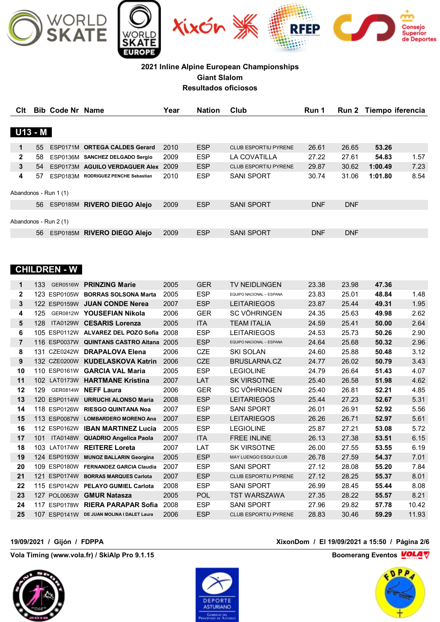

| Clt          |     | <b>Bib Code Nr Name</b> |                                   | Year | <b>Nation</b> | Club                        | Run 1      |            | Run 2 Tiempo iferencia |      |
|--------------|-----|-------------------------|-----------------------------------|------|---------------|-----------------------------|------------|------------|------------------------|------|
|              |     |                         |                                   |      |               |                             |            |            |                        |      |
| $U13 - M$    |     |                         |                                   |      |               |                             |            |            |                        |      |
| 1            | 55  |                         | ESP0171M ORTEGA CALDES Gerard     | 2010 | <b>ESP</b>    | CLUB ESPORTIU PYRENE        | 26.61      | 26.65      | 53.26                  |      |
| $\mathbf{2}$ | 58. |                         | ESP0136M SANCHEZ DELGADO Sergio   | 2009 | <b>ESP</b>    | LA COVATILLA                | 27.22      | 27.61      | 54.83                  | 1.57 |
| 3            | 54  |                         | ESP0173M AGUILO VERDAGUER Alex    | 2009 | <b>ESP</b>    | <b>CLUB ESPORTIU PYRENE</b> | 29.87      | 30.62      | 1:00.49                | 7.23 |
| 4            | 57  | ESP0183M                | <b>RODRIGUEZ PENCHE Sebastian</b> | 2010 | <b>ESP</b>    | <b>SANI SPORT</b>           | 30.74      | 31.06      | 1:01.80                | 8.54 |
|              |     | Abandonos - Run 1 (1)   |                                   |      |               |                             |            |            |                        |      |
|              | 56  |                         | ESP0185M RIVERO DIEGO Alejo       | 2009 | <b>ESP</b>    | <b>SANI SPORT</b>           | <b>DNF</b> | <b>DNF</b> |                        |      |
|              |     |                         |                                   |      |               |                             |            |            |                        |      |
|              |     | Abandonos - Run 2 (1)   |                                   |      |               |                             |            |            |                        |      |
|              | 56  | ESP0185M                | <b>RIVERO DIEGO Alejo</b>         | 2009 | <b>ESP</b>    | <b>SANI SPORT</b>           | <b>DNF</b> | <b>DNF</b> |                        |      |

### **CHILDREN - W**

| 1              | 133<br><b>GER0516W</b>             | <b>PRINZING Marie</b>           | 2005 | <b>GER</b> | <b>TV NEIDLINGEN</b>         | 23.38 | 23.98 | 47.36 |       |
|----------------|------------------------------------|---------------------------------|------|------------|------------------------------|-------|-------|-------|-------|
| $\mathbf{2}$   | 123 ESP0105W                       | <b>BORRAS SOLSONA Marta</b>     | 2005 | <b>ESP</b> | EQUIPO NACIONAL - ESPANA     | 23.83 | 25.01 | 48.84 | 1.48  |
| 3              | 122 ESP0159W                       | <b>JUAN CONDE Nerea</b>         | 2007 | <b>ESP</b> | <b>LEITARIEGOS</b>           | 23.87 | 25.44 | 49.31 | 1.95  |
| 4              | 125<br>GER0812W                    | YOUSEFIAN Nikola                | 2006 | <b>GER</b> | <b>SC VÖHRINGEN</b>          | 24.35 | 25.63 | 49.98 | 2.62  |
| 5              | 128<br><b>ITA0129W</b>             | <b>CESARIS Lorenza</b>          | 2005 | <b>ITA</b> | <b>TEAM ITALIA</b>           | 24.59 | 25.41 | 50.00 | 2.64  |
| 6              | 105 ESP0112W                       | ALVAREZ DEL POZO Sofia          | 2008 | <b>ESP</b> | <b>LEITARIEGOS</b>           | 24.53 | 25.73 | 50.26 | 2.90  |
| $\overline{7}$ | 116 ESP0037W                       | <b>QUINTANS CASTRO Aitana</b>   | 2005 | <b>ESP</b> | EQUIPO NACIONAL - ESPANA     | 24.64 | 25.68 | 50.32 | 2.96  |
| 8              | 131 CZE0242W                       | <b>DRAPALOVA Elena</b>          | 2006 | <b>CZE</b> | <b>SKI SOLAN</b>             | 24.60 | 25.88 | 50.48 | 3.12  |
| 9              | 132 CZE0200W                       | <b>KUDELASKOVA Katrin</b>       | 2006 | <b>CZE</b> | <b>BRUSLARNA.CZ</b>          | 24.77 | 26.02 | 50.79 | 3.43  |
| 10             | 110 ESP0161W                       | <b>GARCIA VAL Maria</b>         | 2005 | <b>ESP</b> | <b>LEGIOLINE</b>             | 24.79 | 26.64 | 51.43 | 4.07  |
| 11             | 10 <sub>2</sub><br><b>LAT0173W</b> | <b>HARTMANE Kristina</b>        | 2007 | LAT        | <b>SK VIRSOTNE</b>           | 25.40 | 26.58 | 51.98 | 4.62  |
| 12             | 129<br>GER0814W                    | <b>NEFF Laura</b>               | 2006 | <b>GER</b> | <b>SC VÖHRINGEN</b>          | 25.40 | 26.81 | 52.21 | 4.85  |
| 13             | 120 ESP0114W                       | <b>URRUCHI ALONSO Maria</b>     | 2008 | <b>ESP</b> | <b>LEITARIEGOS</b>           | 25.44 | 27.23 | 52.67 | 5.31  |
| 14             | 118 ESP0126W                       | <b>RIESGO QUINTANA Noa</b>      | 2007 | <b>ESP</b> | <b>SANI SPORT</b>            | 26.01 | 26.91 | 52.92 | 5.56  |
| 15             | 113 ESP0087W                       | <b>LOMBARDERO MORENO Ana</b>    | 2007 | <b>ESP</b> | <b>LEITARIEGOS</b>           | 26.26 | 26.71 | 52.97 | 5.61  |
| 16             | 112 ESP0162W                       | <b>IBAN MARTINEZ Lucia</b>      | 2005 | <b>ESP</b> | <b>LEGIOLINE</b>             | 25.87 | 27.21 | 53.08 | 5.72  |
| 17             | 101<br><b>ITA0148W</b>             | <b>QUADRIO Angelica Paola</b>   | 2007 | <b>ITA</b> | <b>FREE INLINE</b>           | 26.13 | 27.38 | 53.51 | 6.15  |
| 18             | 103 LAT0174W                       | <b>REITERE Loreta</b>           | 2007 | LAT        | <b>SK VIRSOTNE</b>           | 26.00 | 27.55 | 53.55 | 6.19  |
| 19             | 124 ESP0193W                       | <b>MUNOZ BALLARIN Georgina</b>  | 2005 | <b>ESP</b> | <b>MAY LUENGO ESQUI CLUB</b> | 26.78 | 27.59 | 54.37 | 7.01  |
| 20             | 109 ESP0180W                       | <b>FERNANDEZ GARCIA Claudia</b> | 2007 | <b>ESP</b> | <b>SANI SPORT</b>            | 27.12 | 28.08 | 55.20 | 7.84  |
| 21             | <b>ESP0174W</b><br>121             | <b>BORRAS MARQUES Carlota</b>   | 2007 | <b>ESP</b> | <b>CLUB ESPORTIU PYRENE</b>  | 27.12 | 28.25 | 55.37 | 8.01  |
| 22             | 115 ESP0142W                       | <b>PELAYO GUMIEL Carlota</b>    | 2008 | <b>ESP</b> | <b>SANI SPORT</b>            | 26.99 | 28.45 | 55.44 | 8.08  |
| 23             | 127 POL0063W                       | <b>GMUR Natasza</b>             | 2005 | POL        | <b>TST WARSZAWA</b>          | 27.35 | 28.22 | 55.57 | 8.21  |
| 24             | <b>ESP0178W</b><br>117             | <b>RIERA PARAPAR Sofia</b>      | 2008 | <b>ESP</b> | <b>SANI SPORT</b>            | 27.96 | 29.82 | 57.78 | 10.42 |
| 25             | 107<br>ESP0141W                    | DE JUAN MOLINA I DALET Laura    | 2006 | <b>ESP</b> | <b>CLUB ESPORTIU PYRENE</b>  | 28.83 | 30.46 | 59.29 | 11.93 |
|                |                                    |                                 |      |            |                              |       |       |       |       |

**Vola Timing (www.vola.fr) / SkiAlp Pro 9.1.15 Boomerang Eventos MOLA** 





**19/09/2021 / Gijón / FDPPA XixonDom / El 19/09/2021 a 15:50 / Página 2/6**

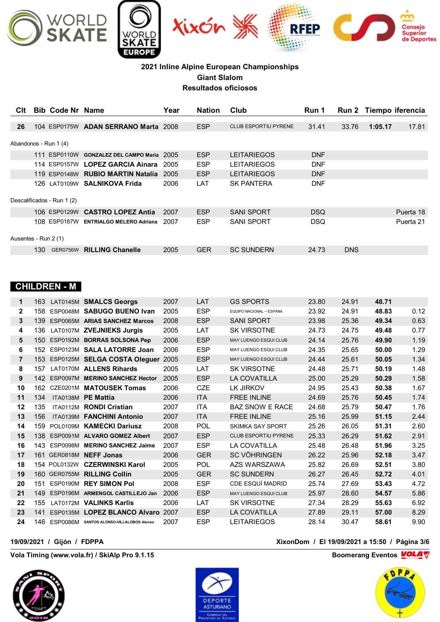

| Clt                  |     | <b>Bib Code Nr Name</b>    |                                   | Year | <b>Nation</b> | Club                        | Run 1      |            |         | Run 2 Tiempo iferencia |
|----------------------|-----|----------------------------|-----------------------------------|------|---------------|-----------------------------|------------|------------|---------|------------------------|
|                      |     |                            |                                   |      |               |                             |            |            |         |                        |
| 26                   |     |                            | 104 ESP0175W ADAN SERRANO Marta   | 2008 | <b>ESP</b>    | <b>CLUB ESPORTIU PYRENE</b> | 31.41      | 33.76      | 1:05.17 | 17.81                  |
|                      |     |                            |                                   |      |               |                             |            |            |         |                        |
|                      |     | Abandonos - Run 1 (4)      |                                   |      |               |                             |            |            |         |                        |
|                      |     | 111 ESP0110W               | <b>GONZALEZ DEL CAMPO Maria</b>   | 2005 | <b>ESP</b>    | <b>LEITARIEGOS</b>          | <b>DNF</b> |            |         |                        |
|                      |     |                            | 114 ESP0157W LOPEZ GARCIA Ainara  | 2005 | <b>ESP</b>    | <b>LEITARIEGOS</b>          | <b>DNF</b> |            |         |                        |
|                      |     |                            | 119 ESP0148W RUBIO MARTIN Natalia | 2005 | <b>ESP</b>    | <b>LEITARIEGOS</b>          | <b>DNF</b> |            |         |                        |
|                      |     |                            | 126 LAT0109W SALNIKOVA Frida      | 2006 | LAT           | <b>SK PANTERA</b>           | <b>DNF</b> |            |         |                        |
|                      |     |                            |                                   |      |               |                             |            |            |         |                        |
|                      |     | Descalificados - Run 1 (2) |                                   |      |               |                             |            |            |         |                        |
|                      |     | 106 ESP0129W               | <b>CASTRO LOPEZ Antia</b>         | 2007 | <b>ESP</b>    | <b>SANI SPORT</b>           | <b>DSQ</b> |            |         | Puerta 18              |
|                      |     | 108 ESP0187W               | <b>ENTRIALGO MELERO Adriana</b>   | 2007 | <b>ESP</b>    | <b>SANI SPORT</b>           | <b>DSQ</b> |            |         | Puerta 21              |
|                      |     |                            |                                   |      |               |                             |            |            |         |                        |
| Ausentes - Run 2 (1) |     |                            |                                   |      |               |                             |            |            |         |                        |
|                      | 130 | <b>GER0756W</b>            | <b>RILLING Chanelle</b>           | 2005 | <b>GER</b>    | <b>SC SUNDERN</b>           | 24.73      | <b>DNS</b> |         |                        |
|                      |     |                            |                                   |      |               |                             |            |            |         |                        |

## **CHILDREN - M**

| 1              | 163 |                 | LAT0145M SMALCS Georgs                 | 2007 | LAT        | <b>GS SPORTS</b>             | 23.80 | 24.91 | 48.71 |      |
|----------------|-----|-----------------|----------------------------------------|------|------------|------------------------------|-------|-------|-------|------|
| $\mathbf{2}$   | 158 |                 | ESP0048M SABUGO BUENO Ivan             | 2005 | <b>ESP</b> | EQUIPO NACIONAL - ESPANA     | 23.92 | 24.91 | 48.83 | 0.12 |
| 3              | 139 |                 | ESP0065M ARIAS SANCHEZ Marcos          | 2008 | <b>ESP</b> | <b>SANI SPORT</b>            | 23.98 | 25.36 | 49.34 | 0.63 |
| 4              | 136 |                 | LAT0107M ZVEJNIEKS Jurais              | 2005 | LAT        | <b>SK VIRSOTNE</b>           | 24.73 | 24.75 | 49.48 | 0.77 |
| 5              |     |                 | 150 ESP0192M BORRAS SOLSONA Pep        | 2006 | <b>ESP</b> | <b>MAY LUENGO ESQUI CLUB</b> | 24.14 | 25.76 | 49.90 | 1.19 |
| 6              |     |                 | 152 ESP0123M SALA LATORRE Joan         | 2006 | <b>ESP</b> | MAY LUENGO ESQUI CLUB        | 24.35 | 25.65 | 50.00 | 1.29 |
| $\overline{7}$ |     |                 | 153 ESP0125M SELGA COSTA Oleguer       | 2005 | <b>ESP</b> | <b>MAY LUENGO ESQUI CLUB</b> | 24.44 | 25.61 | 50.05 | 1.34 |
| 8              | 157 |                 | LAT0170M ALLENS Rihards                | 2005 | LAT        | <b>SK VIRSOTNE</b>           | 24.48 | 25.71 | 50.19 | 1.48 |
| 9              | 142 | <b>ESP0097M</b> | <b>MERINO SANCHEZ Hector</b>           | 2005 | <b>ESP</b> | <b>LA COVATILLA</b>          | 25.00 | 25.29 | 50.29 | 1.58 |
| 10             | 162 |                 | CZE0201M MATOUSEK Tomas                | 2006 | <b>CZE</b> | <b>LK JIRKOV</b>             | 24.95 | 25.43 | 50.38 | 1.67 |
| 11             | 134 | <b>ITA0138M</b> | <b>PE Mattia</b>                       | 2006 | <b>ITA</b> | <b>FREE INLINE</b>           | 24.69 | 25.76 | 50.45 | 1.74 |
| $12 \,$        | 135 |                 | ITA0112M RONDI Cristian                | 2007 | <b>ITA</b> | <b>BAZ SNOW E RACE</b>       | 24.68 | 25.79 | 50.47 | 1.76 |
| 13             | 156 |                 | ITA0139M FANCHINI Antonio              | 2007 | <b>ITA</b> | <b>FREE INLINE</b>           | 25.16 | 25.99 | 51.15 | 2.44 |
| 14             | 159 |                 | POL0109M KAMECKI Dariusz               | 2008 | POL        | <b>SKIMKA SAY SPORT</b>      | 25.26 | 26.05 | 51.31 | 2.60 |
| 15             | 138 | ESP0091M        | <b>ALVARO GOMEZ Albert</b>             | 2007 | <b>ESP</b> | CLUB ESPORTIU PYRENE         | 25.33 | 26.29 | 51.62 | 2.91 |
| 16             | 143 | <b>ESP0098M</b> | <b>MERINO SANCHEZ Jaime</b>            | 2007 | <b>ESP</b> | <b>LA COVATILLA</b>          | 25.48 | 26.48 | 51.96 | 3.25 |
| 17             |     |                 | 161 GER0818M NEFF Jonas                | 2006 | <b>GER</b> | <b>SC VÖHRINGEN</b>          | 26.22 | 25.96 | 52.18 | 3.47 |
| 18             |     | 154 POL0132W    | <b>CZERWINSKI Karol</b>                | 2005 | POL        | AZS WARSZAWA                 | 25.82 | 26.69 | 52.51 | 3.80 |
| 19             |     |                 | 160 GER0755M RILLING Collin            | 2005 | <b>GER</b> | <b>SC SUNDERN</b>            | 26.27 | 26.45 | 52.72 | 4.01 |
| 20             | 151 |                 | ESP0190M REY SIMON Pol                 | 2008 | <b>ESP</b> | CDE ESQUÍ MADRID             | 25.74 | 27.69 | 53.43 | 4.72 |
| 21             | 149 |                 | ESP0196M ARMENGOL CASTILLEJO Jan       | 2006 | <b>ESP</b> | MAY LUENGO ESQUI CLUB        | 25.97 | 28.60 | 54.57 | 5.86 |
| 22             | 155 |                 | LAT0172M VALINKS Karlis                | 2006 | LAT        | <b>SK VIRSOTNE</b>           | 27.34 | 28.29 | 55.63 | 6.92 |
| 23             | 141 |                 | ESP0135M LOPEZ BLANCO Alvaro           | 2007 | <b>ESP</b> | <b>LA COVATILLA</b>          | 27.89 | 29.11 | 57.00 | 8.29 |
| 24             | 146 | ESP0086M        | <b>SANTOS ALONSO-VILLALOBOS Alonso</b> | 2007 | <b>ESP</b> | <b>LEITARIEGOS</b>           | 28.14 | 30.47 | 58.61 | 9.90 |

**Vola Timing (www.vola.fr) / SkiAlp Pro 9.1.15 Boomerang Eventos VOLAT** 





**19/09/2021 / Gijón / FDPPA XixonDom / El 19/09/2021 a 15:50 / Página 3/6**

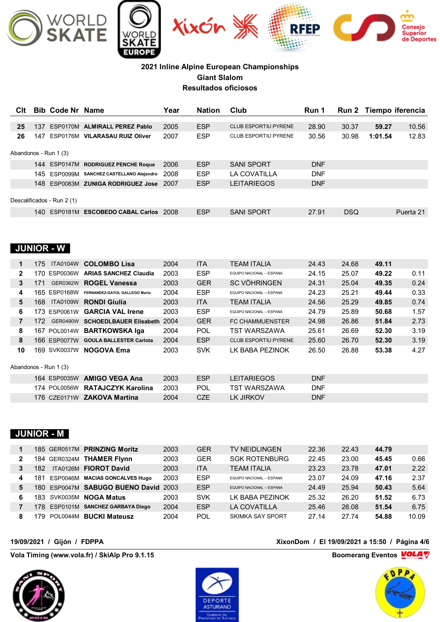

| Clt            |     | <b>Bib Code Nr Name</b>    |                                         | Year | <b>Nation</b> | Club                        | Run 1      |            |         | Run 2 Tiempo iferencia |
|----------------|-----|----------------------------|-----------------------------------------|------|---------------|-----------------------------|------------|------------|---------|------------------------|
| 25             | 137 |                            | ESP0170M ALMIRALL PEREZ Pablo           | 2005 | <b>ESP</b>    | <b>CLUB ESPORTIU PYRENE</b> | 28.90      | 30.37      | 59.27   | 10.56                  |
| 26             |     |                            | 147 ESP0176M VILARASAU RUIZ Oliver      | 2007 | <b>ESP</b>    | <b>CLUB ESPORTIU PYRENE</b> | 30.56      | 30.98      | 1:01.54 | 12.83                  |
|                |     | Abandonos - Run 1 (3)      |                                         |      |               |                             |            |            |         |                        |
|                |     |                            | 144 ESP0147M RODRIGUEZ PENCHE Roque     | 2006 | <b>ESP</b>    | <b>SANI SPORT</b>           | <b>DNF</b> |            |         |                        |
|                | 145 |                            | ESP0099M SANCHEZ CASTELLANO Alejandro   | 2008 | <b>ESP</b>    | <b>LA COVATILLA</b>         | <b>DNF</b> |            |         |                        |
|                |     |                            | 148 ESP0083M ZUNIGA RODRIGUEZ Jose      | 2007 | <b>ESP</b>    | <b>LEITARIEGOS</b>          | <b>DNF</b> |            |         |                        |
|                |     | Descalificados - Run 2 (1) |                                         |      |               |                             |            |            |         |                        |
|                |     |                            | 140 ESP0181M ESCOBEDO CABAL Carlos 2008 |      | <b>ESP</b>    | <b>SANI SPORT</b>           | 27.91      | <b>DSQ</b> |         | Puerta 21              |
|                |     | <b>JUNIOR - W</b>          |                                         |      |               |                             |            |            |         |                        |
| $\mathbf 1$    | 175 | <b>ITA0104W</b>            | <b>COLOMBO Lisa</b>                     | 2004 | <b>ITA</b>    | <b>TEAM ITALIA</b>          | 24.43      | 24.68      | 49.11   |                        |
| $\mathbf{2}$   |     |                            | 170 ESP0036W ARIAS SANCHEZ Claudia      | 2003 | <b>ESP</b>    | EQUIPO NACIONAL - ESPANA    | 24.15      | 25.07      | 49.22   | 0.11                   |
| 3              | 171 | GER0362W                   | <b>ROGEL Vanessa</b>                    | 2003 | <b>GER</b>    | <b>SC VÖHRINGEN</b>         | 24.31      | 25.04      | 49.35   | 0.24                   |
| 4              |     | 165 ESP0168W               | FERNANDEZ-GAYOL GALLEGO Marta           | 2004 | <b>ESP</b>    | EQUIPO NACIONAL - ESPANA    | 24.23      | 25.21      | 49.44   | 0.33                   |
| 5              | 168 | <b>ITA0109W</b>            | <b>RONDI Giulia</b>                     | 2003 | <b>ITA</b>    | <b>TEAM ITALIA</b>          | 24.56      | 25.29      | 49.85   | 0.74                   |
| 6              |     | 173 ESP0061W               | <b>GARCIA VAL Irene</b>                 | 2003 | <b>ESP</b>    | EQUIPO NACIONAL - ESPANA    | 24.79      | 25.89      | 50.68   | 1.57                   |
| $\overline{7}$ | 172 |                            | GER0490W SCHOEDLBAUER Elisabeth 2004    |      | <b>GER</b>    | FC CHAMMUENSTER             | 24.98      | 26.86      | 51.84   | 2.73                   |
| 8              |     | 167 POL0014W               | <b>BARTKOWSKA Iga</b>                   | 2004 | <b>POL</b>    | TST WARSZAWA                | 25.61      | 26.69      | 52.30   | 3.19                   |
| 8              |     |                            | 166 ESP0077W GOULA BALLESTER Carlota    | 2004 | <b>ESP</b>    | CLUB ESPORTIU PYRENE        | 25.60      | 26.70      | 52.30   | 3.19                   |
| 10             |     | 169 SVK0037W               | <b>NOGOVA Ema</b>                       | 2003 | <b>SVK</b>    | LK BABA PEZINOK             | 26.50      | 26.88      | 53.38   | 4.27                   |

### Abandonos - Run 1 (3)

|  | 164 ESP0035W AMIGO VEGA Ana     | 2003   | <b>ESP</b> | <b>LEITARIEGOS</b> | <b>DNF</b> |
|--|---------------------------------|--------|------------|--------------------|------------|
|  | 174 POL0056W RATAJCZYK Karolina | - 2003 | <b>POL</b> | TST WARSZAWA       | <b>DNF</b> |
|  | 176 CZE0171W ZAKOVA Martina     | 2004   | <b>CZE</b> | LK JIRKOV          | <b>DNF</b> |

### **JUNIOR - M**

|   | 185 GER0517M           | <b>PRINZING Moritz</b>           | 2003 | <b>GER</b> | TV NEIDLINGEN                   | 22.36 | 22.43 | 44.79 |       |
|---|------------------------|----------------------------------|------|------------|---------------------------------|-------|-------|-------|-------|
| 2 | 184 GER0324M           | <b>THAMER Flynn</b>              | 2003 | GER        | <b>SGK ROTENBURG</b>            | 22.45 | 23.00 | 45.45 | 0.66  |
|   | <b>ITA0126M</b><br>182 | <b>FIOROT David</b>              | 2003 | ITA        | TFAM ITAI IA                    | 23.23 | 23.78 | 47.01 | 2.22  |
| 4 | 181<br>ESP0046M        | <b>MACIAS GONCALVES Hugo</b>     | 2003 | <b>ESP</b> | FOUIPO NACIONAL - ESPANA        | 23.07 | 24.09 | 47.16 | 2.37  |
| 5 | 180                    | ESP0047M SABUGO BUENO David 2003 |      | <b>ESP</b> | <b>EQUIPO NACIONAL - ESPANA</b> | 24.49 | 25.94 | 50.43 | 5.64  |
| 6 | 183                    | SVK0035M NOGA Matus              | 2003 | <b>SVK</b> | I K BABA PFZINOK                | 25.32 | 26.20 | 51.52 | 6.73  |
|   |                        | ESP0101M SANCHEZ GARBAYA Diego   | 2004 | <b>ESP</b> | LA COVATILLA                    | 25.46 | 26.08 | 51.54 | 6.75  |
|   | POL0044M<br>79         | <b>BUCKI Mateusz</b>             | 2004 | POL        | <b>SKIMKA SAY SPORT</b>         | 27.14 | 27.74 | 54.88 | 10.09 |

**Vola Timing (www.vola.fr) / SkiAlp Pro 9.1.15 Boomerang Eventos VOLAT** 





**19/09/2021 / Gijón / FDPPA XixonDom / El 19/09/2021 a 15:50 / Página 4/6**

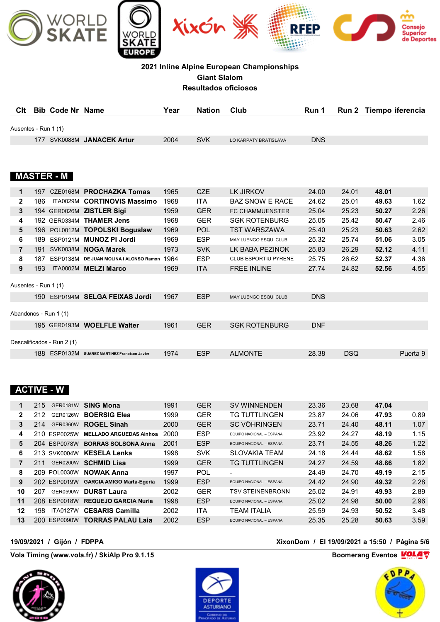

| Clt                  | <b>Bib Code Nr Name</b> |                            | Year | <b>Nation</b> | Club                  | Run 1      | Run 2 Tiempo iferencia |
|----------------------|-------------------------|----------------------------|------|---------------|-----------------------|------------|------------------------|
| Ausentes - Run 1 (1) |                         |                            |      |               |                       |            |                        |
|                      |                         | 177 SVK0088M JANACEK Artur | 2004 | <b>SVK</b>    | LO KARPATY BRATISLAVA | <b>DNS</b> |                        |
|                      |                         |                            |      |               |                       |            |                        |

### **MASTER - M**

| 1                    | 197  |                            | CZE0168M PROCHAZKA Tomas                | 1965 | <b>CZE</b> | LK JIRKOV                    | 24.00      | 24.01      | 48.01 |          |
|----------------------|------|----------------------------|-----------------------------------------|------|------------|------------------------------|------------|------------|-------|----------|
| $\mathbf{2}$         | 186  | <b>ITA0029M</b>            | <b>CORTINOVIS Massimo</b>               | 1968 | ITA        | <b>BAZ SNOW E RACE</b>       | 24.62      | 25.01      | 49.63 | 1.62     |
| 3                    |      |                            | 194 GER0026M ZISTLER Sigi               | 1959 | <b>GER</b> | <b>FC CHAMMUENSTER</b>       | 25.04      | 25.23      | 50.27 | 2.26     |
| 4                    | 192  | GER0334M                   | <b>THAMER Jens</b>                      | 1968 | <b>GER</b> | <b>SGK ROTENBURG</b>         | 25.05      | 25.42      | 50.47 | 2.46     |
| 5                    | 196. |                            | POL0012M TOPOLSKI Boguslaw              | 1969 | <b>POL</b> | TST WARSZAWA                 | 25.40      | 25.23      | 50.63 | 2.62     |
| 6                    | 189  | ESP0121M                   | <b>MUNOZ PI Jordi</b>                   | 1969 | <b>ESP</b> | <b>MAY LUENGO ESQUI CLUB</b> | 25.32      | 25.74      | 51.06 | 3.05     |
| $\overline{7}$       | 191  | <b>SVK0038M</b>            | <b>NOGA Marek</b>                       | 1973 | <b>SVK</b> | LK BABA PEZINOK              | 25.83      | 26.29      | 52.12 | 4.11     |
| 8                    | 187  | <b>ESP0138M</b>            | DE JUAN MOLINA I ALONSO Ramon           | 1964 | <b>ESP</b> | <b>CLUB ESPORTIU PYRENE</b>  | 25.75      | 26.62      | 52.37 | 4.36     |
| 9                    | 193  |                            | ITA0002M MELZI Marco                    | 1969 | <b>ITA</b> | <b>FREE INLINE</b>           | 27.74      | 24.82      | 52.56 | 4.55     |
| Ausentes - Run 1 (1) |      |                            |                                         |      |            |                              |            |            |       |          |
|                      | 190  |                            | ESP0194M SELGA FEIXAS Jordi             | 1967 | <b>ESP</b> | <b>MAY LUENGO ESQUI CLUB</b> | <b>DNS</b> |            |       |          |
|                      |      | Abandonos - Run 1 (1)      |                                         |      |            |                              |            |            |       |          |
|                      |      |                            | 195 GER0193M WOELFLE Walter             | 1961 | <b>GER</b> | <b>SGK ROTENBURG</b>         | <b>DNF</b> |            |       |          |
|                      |      | Descalificados - Run 2 (1) |                                         |      |            |                              |            |            |       |          |
|                      | 188  | <b>ESP0132M</b>            | <b>SUAREZ MARTINEZ Francisco Javier</b> | 1974 | <b>ESP</b> | <b>ALMONTE</b>               | 28.38      | <b>DSQ</b> |       | Puerta 9 |
|                      |      |                            |                                         |      |            |                              |            |            |       |          |

### **ACTIVE - W**

| 1              | 215<br>GER0181W        | <b>SING Mona</b>                 | 1991 | <b>GER</b> | <b>SV WINNENDEN</b>             | 23.36 | 23.68 | 47.04 |      |
|----------------|------------------------|----------------------------------|------|------------|---------------------------------|-------|-------|-------|------|
| $\mathbf{2}$   | 212<br>GER0126W        | <b>BOERSIG Elea</b>              | 1999 | <b>GER</b> | TG TUTTI INGEN                  | 23.87 | 24.06 | 47.93 | 0.89 |
| 3              | 214<br>GER0360W        | <b>ROGEL Sinah</b>               | 2000 | <b>GER</b> | <b>SC VÖHRINGEN</b>             | 23.71 | 24.40 | 48.11 | 1.07 |
| 4              | 210.<br>ESP0025W       | <b>MELLADO ARGUEDAS Ainhoa</b>   | 2000 | <b>ESP</b> | FOUIPO NACIONAL - ESPANA        | 23.92 | 24.27 | 48.19 | 1.15 |
| 5              | <b>ESP0078W</b><br>204 | <b>BORRAS SOLSONA Anna</b>       | 2001 | <b>ESP</b> | <b>EQUIPO NACIONAL - ESPANA</b> | 23.71 | 24.55 | 48.26 | 1.22 |
| 6              | 213 SVK0004W           | <b>KESELA Lenka</b>              | 1998 | <b>SVK</b> | SI OVAKIA TFAM                  | 24.18 | 24.44 | 48.62 | 1.58 |
| $\overline{7}$ | 211<br><b>GER0200W</b> | <b>SCHMID Lisa</b>               | 1999 | <b>GER</b> | <b>TG TUTTLINGEN</b>            | 24.27 | 24.59 | 48.86 | 1.82 |
| 8              | 209.<br>POL0030W       | <b>NOWAK Anna</b>                | 1997 | <b>POL</b> | $\blacksquare$                  | 24.49 | 24.70 | 49.19 | 2.15 |
| 9              | 202<br>ESP0019W        | <b>GARCIA AMIGO Marta-Egeria</b> | 1999 | <b>ESP</b> | <b>EQUIPO NACIONAL - ESPANA</b> | 24.42 | 24.90 | 49.32 | 2.28 |
| 10             | 207<br>GER0590W        | <b>DURST Laura</b>               | 2002 | <b>GER</b> | <b>TSV STEINENBRONN</b>         | 25.02 | 24.91 | 49.93 | 2.89 |
| 11             | 208 ESP0018W           | <b>REQUEJO GARCIA Nuria</b>      | 1998 | <b>ESP</b> | <b>EQUIPO NACIONAL - ESPANA</b> | 25.02 | 24.98 | 50.00 | 2.96 |
| 12             | 198<br><b>ITA0127W</b> | <b>CESARIS Camilla</b>           | 2002 | ITA        | <b>TEAM ITALIA</b>              | 25.59 | 24.93 | 50.52 | 3.48 |
| 13             | 200<br>ESP0090W        | <b>TORRAS PALAU Laia</b>         | 2002 | <b>ESP</b> | <b>EQUIPO NACIONAL - ESPANA</b> | 25.35 | 25.28 | 50.63 | 3.59 |
|                |                        |                                  |      |            |                                 |       |       |       |      |

**Vola Timing (www.vola.fr) / SkiAlp Pro 9.1.15 Boomerang Eventos VOLAT** 





### **19/09/2021 / Gijón / FDPPA XixonDom / El 19/09/2021 a 15:50 / Página 5/6**